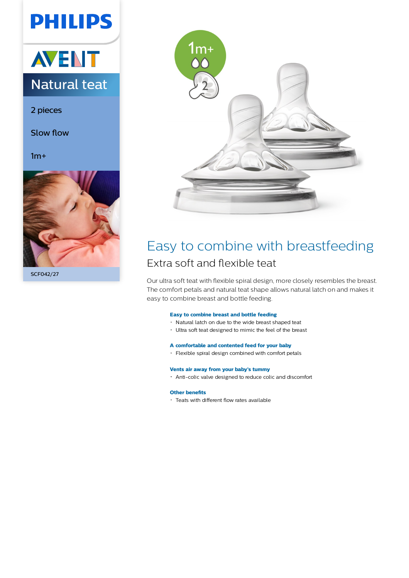# **PHILIPS**



2 pieces

Slow flow

 $1m+$ 



SCF042/27



### Easy to combine with breastfeeding Extra soft and flexible teat

Our ultra soft teat with flexible spiral design, more closely resembles the breast. The comfort petals and natural teat shape allows natural latch on and makes it easy to combine breast and bottle feeding.

#### **Easy to combine breast and bottle feeding**

- Natural latch on due to the wide breast shaped teat
- Ultra soft teat designed to mimic the feel of the breast

#### **A comfortable and contented feed for your baby**

Flexible spiral design combined with comfort petals

#### **Vents air away from your baby's tummy**

Anti-colic valve designed to reduce colic and discomfort

#### **Other benefits**

Teats with different flow rates available